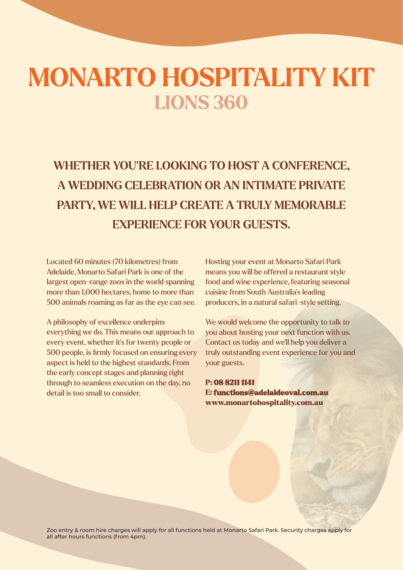## **MONARTO HOSPITALITY KIT LIONS 360**

**WHETHER YOU'RE LOOKING TO HOST A CONFERENCE, A WEDDING CELEBRATION OR AN INTIMATE PRIVATE PARTY, WE WILL HELP CREATE A TRULY MEMORABLE EXPERIENCE FOR YOUR GUESTS.**

Located 60 minutes (70 kilometres) from Adelaide, Monarto Safari Park is one of the largest open-range zoos in the world spanning more than 1,000 hectares, home to more than 500 animals roaming as far as the eye can see.

A philosophy of excellence underpins everything we do. This means our approach to every event, whether it's for twenty people or 500 people, is firmly focused on ensuring every aspect is held to the highest standards. From the early concept stages and planning right through to seamless execution on the day, no detail is too small to consider.

Hosting your event at Monarto Safari Park means you will be offered a restaurant style food and wine experience, featuring seasonal cuisine from South Australia's leading producers, in a natural safari-style setting.

We would welcome the opportunity to talk to you about hosting your next function with us. Contact us today and we'll help you deliver a truly outstanding event experience for you and your guests.

P: 08 8211 1141 E: functions@adelaideoval.com.au www.monartohospitality.com.au

Zoo entry & room hire charges will apply for all functions held at Monarto Safari Park. Security charges apply for all after hours functions (from 4pm).